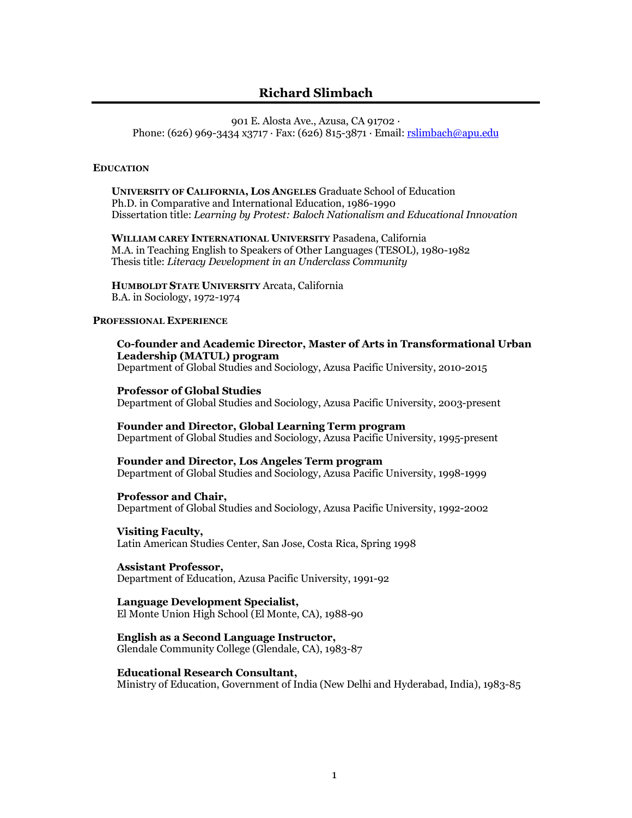# **Richard Slimbach**

901 E. Alosta Ave., Azusa, CA 91702 · Phone: (626) 969-3434 x3717 · Fax: (626) 815-3871 · Email: rslimbach@apu.edu

#### **EDUCATION**

**UNIVERSITY OF CALIFORNIA, LOS ANGELES** Graduate School of Education Ph.D. in Comparative and International Education, 1986-1990 Dissertation title: *Learning by Protest: Baloch Nationalism and Educational Innovation*

**WILLIAM CAREY INTERNATIONAL UNIVERSITY** Pasadena, California M.A. in Teaching English to Speakers of Other Languages (TESOL), 1980-1982 Thesis title: *Literacy Development in an Underclass Community*

**HUMBOLDT STATE UNIVERSITY** Arcata, California B.A. in Sociology, 1972-1974

### **PROFESSIONAL EXPERIENCE**

**Co-founder and Academic Director, Master of Arts in Transformational Urban Leadership (MATUL) program** Department of Global Studies and Sociology, Azusa Pacific University, 2010-2015

**Professor of Global Studies** Department of Global Studies and Sociology, Azusa Pacific University, 2003-present

**Founder and Director, Global Learning Term program** Department of Global Studies and Sociology, Azusa Pacific University, 1995-present

**Founder and Director, Los Angeles Term program** Department of Global Studies and Sociology, Azusa Pacific University, 1998-1999

#### **Professor and Chair,**

Department of Global Studies and Sociology, Azusa Pacific University, 1992-2002

#### **Visiting Faculty,**

Latin American Studies Center, San Jose, Costa Rica, Spring 1998

### **Assistant Professor,**

Department of Education, Azusa Pacific University, 1991-92

#### **Language Development Specialist,**

El Monte Union High School (El Monte, CA), 1988-90

#### **English as a Second Language Instructor,**

Glendale Community College (Glendale, CA), 1983-87

#### **Educational Research Consultant,**

Ministry of Education, Government of India (New Delhi and Hyderabad, India), 1983-85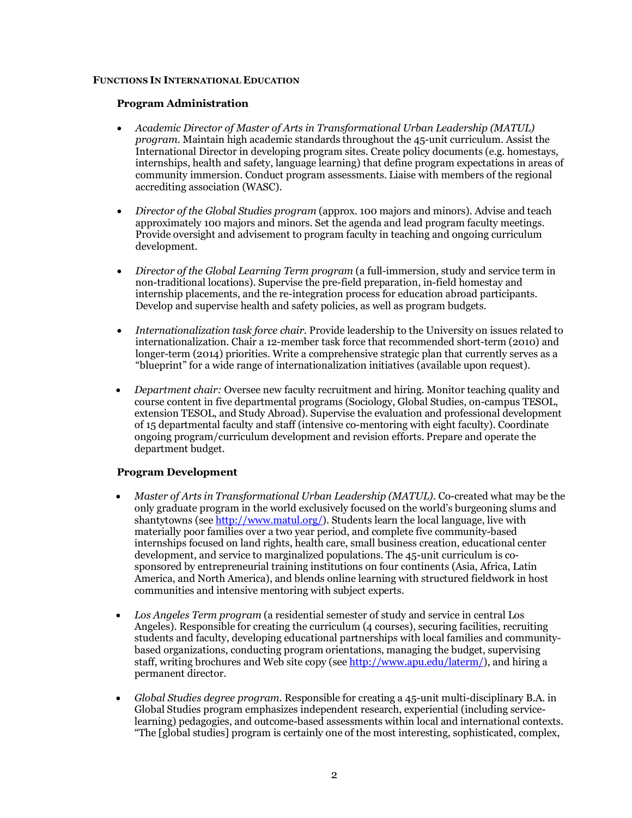### **FUNCTIONS IN INTERNATIONAL EDUCATION**

## **Program Administration**

- *Academic Director of Master of Arts in Transformational Urban Leadership (MATUL) program.* Maintain high academic standards throughout the 45-unit curriculum. Assist the International Director in developing program sites. Create policy documents (e.g. homestays, internships, health and safety, language learning) that define program expectations in areas of community immersion. Conduct program assessments. Liaise with members of the regional accrediting association (WASC).
- *Director of the Global Studies program* (approx. 100 majors and minors). Advise and teach approximately 100 majors and minors. Set the agenda and lead program faculty meetings. Provide oversight and advisement to program faculty in teaching and ongoing curriculum development.
- *Director of the Global Learning Term program* (a full-immersion, study and service term in non-traditional locations). Supervise the pre-field preparation, in-field homestay and internship placements, and the re-integration process for education abroad participants. Develop and supervise health and safety policies, as well as program budgets.
- *Internationalization task force chair.* Provide leadership to the University on issues related to internationalization. Chair a 12-member task force that recommended short-term (2010) and longer-term (2014) priorities. Write a comprehensive strategic plan that currently serves as a "blueprint" for a wide range of internationalization initiatives (available upon request).
- *Department chair:* Oversee new faculty recruitment and hiring. Monitor teaching quality and course content in five departmental programs (Sociology, Global Studies, on-campus TESOL, extension TESOL, and Study Abroad). Supervise the evaluation and professional development of 15 departmental faculty and staff (intensive co-mentoring with eight faculty). Coordinate ongoing program/curriculum development and revision efforts. Prepare and operate the department budget.

# **Program Development**

- *Master of Arts in Transformational Urban Leadership (MATUL).* Co-created what may be the only graduate program in the world exclusively focused on the world's burgeoning slums and shantytowns (see http://www.matul.org/). Students learn the local language, live with materially poor families over a two year period, and complete five community-based internships focused on land rights, health care, small business creation, educational center development, and service to marginalized populations. The 45-unit curriculum is cosponsored by entrepreneurial training institutions on four continents (Asia, Africa, Latin America, and North America), and blends online learning with structured fieldwork in host communities and intensive mentoring with subject experts.
- *Los Angeles Term program* (a residential semester of study and service in central Los Angeles). Responsible for creating the curriculum (4 courses), securing facilities, recruiting students and faculty, developing educational partnerships with local families and communitybased organizations, conducting program orientations, managing the budget, supervising staff, writing brochures and Web site copy (see http://www.apu.edu/laterm/), and hiring a permanent director.
- *Global Studies degree program.* Responsible for creating a 45-unit multi-disciplinary B.A. in Global Studies program emphasizes independent research, experiential (including servicelearning) pedagogies, and outcome-based assessments within local and international contexts. "The [global studies] program is certainly one of the most interesting, sophisticated, complex,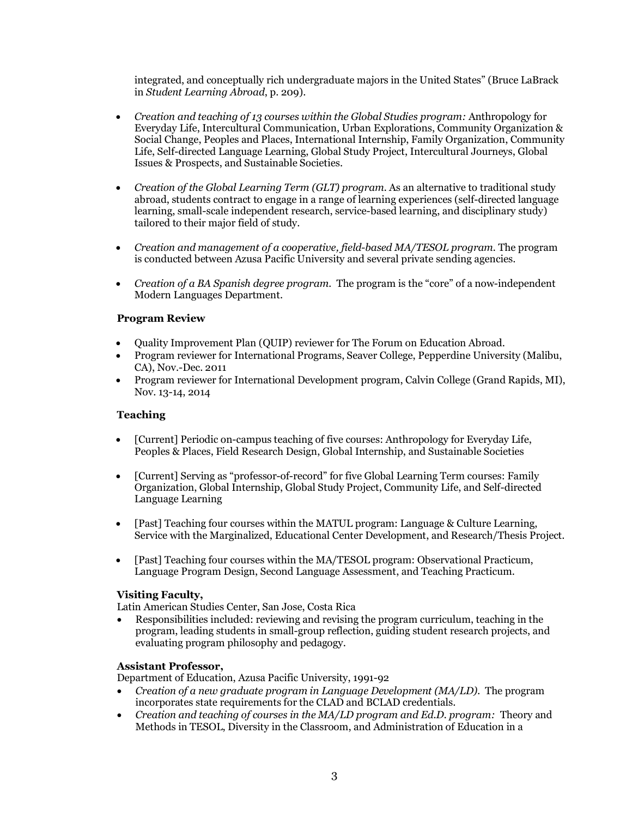integrated, and conceptually rich undergraduate majors in the United States" (Bruce LaBrack in *Student Learning Abroad*, p. 209).

- *Creation and teaching of 13 courses within the Global Studies program:* Anthropology for Everyday Life, Intercultural Communication, Urban Explorations, Community Organization & Social Change, Peoples and Places, International Internship, Family Organization, Community Life, Self-directed Language Learning, Global Study Project, Intercultural Journeys, Global Issues & Prospects, and Sustainable Societies.
- *Creation of the Global Learning Term (GLT) program.* As an alternative to traditional study abroad, students contract to engage in a range of learning experiences (self-directed language learning, small-scale independent research, service-based learning, and disciplinary study) tailored to their major field of study.
- *Creation and management of a cooperative, field-based MA/TESOL program.* The program is conducted between Azusa Pacific University and several private sending agencies.
- *Creation of a BA Spanish degree program.* The program is the "core" of a now-independent Modern Languages Department.

## **Program Review**

- Quality Improvement Plan (QUIP) reviewer for The Forum on Education Abroad.
- Program reviewer for International Programs, Seaver College, Pepperdine University (Malibu, CA), Nov.-Dec. 2011
- Program reviewer for International Development program, Calvin College (Grand Rapids, MI), Nov. 13-14, 2014

## **Teaching**

- [Current] Periodic on-campus teaching of five courses: Anthropology for Everyday Life, Peoples & Places, Field Research Design, Global Internship, and Sustainable Societies
- [Current] Serving as "professor-of-record" for five Global Learning Term courses: Family Organization, Global Internship, Global Study Project, Community Life, and Self-directed Language Learning
- [Past] Teaching four courses within the MATUL program: Language & Culture Learning, Service with the Marginalized, Educational Center Development, and Research/Thesis Project.
- [Past] Teaching four courses within the MA/TESOL program: Observational Practicum, Language Program Design, Second Language Assessment, and Teaching Practicum.

### **Visiting Faculty,**

Latin American Studies Center, San Jose, Costa Rica

• Responsibilities included: reviewing and revising the program curriculum, teaching in the program, leading students in small-group reflection, guiding student research projects, and evaluating program philosophy and pedagogy.

### **Assistant Professor,**

Department of Education, Azusa Pacific University, 1991-92

- *Creation of a new graduate program in Language Development (MA/LD).* The program incorporates state requirements for the CLAD and BCLAD credentials.
- *Creation and teaching of courses in the MA/LD program and Ed.D. program:* Theory and Methods in TESOL, Diversity in the Classroom, and Administration of Education in a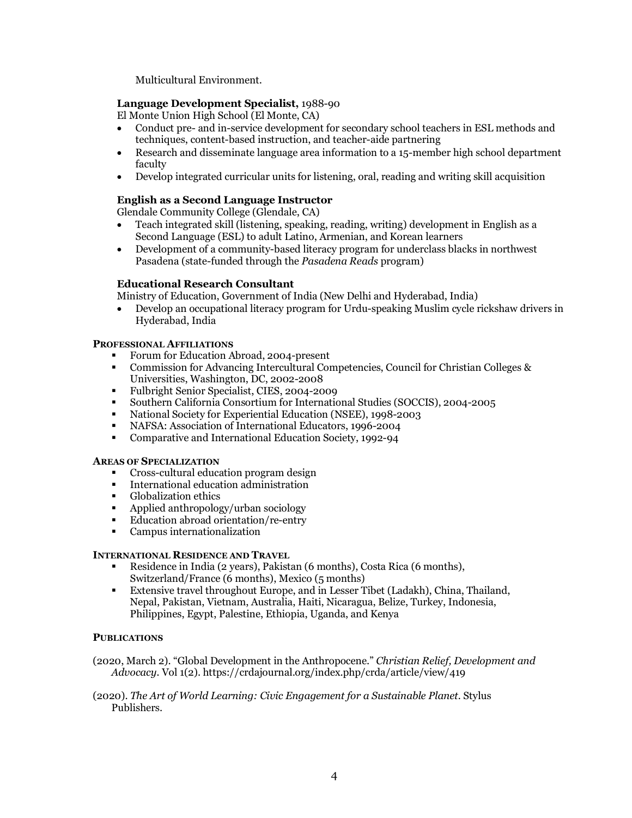Multicultural Environment.

## **Language Development Specialist,** 1988-90

El Monte Union High School (El Monte, CA)

- Conduct pre- and in-service development for secondary school teachers in ESL methods and techniques, content-based instruction, and teacher-aide partnering
- Research and disseminate language area information to a 15-member high school department faculty
- Develop integrated curricular units for listening, oral, reading and writing skill acquisition

## **English as a Second Language Instructor**

Glendale Community College (Glendale, CA)

- Teach integrated skill (listening, speaking, reading, writing) development in English as a Second Language (ESL) to adult Latino, Armenian, and Korean learners
- Development of a community-based literacy program for underclass blacks in northwest Pasadena (state-funded through the *Pasadena Reads* program)

## **Educational Research Consultant**

Ministry of Education, Government of India (New Delhi and Hyderabad, India)

• Develop an occupational literacy program for Urdu-speaking Muslim cycle rickshaw drivers in Hyderabad, India

### **PROFESSIONAL AFFILIATIONS**

- § Forum for Education Abroad, 2004-present
- § Commission for Advancing Intercultural Competencies, Council for Christian Colleges & Universities, Washington, DC, 2002-2008
- § Fulbright Senior Specialist, CIES, 2004-2009
- § Southern California Consortium for International Studies (SOCCIS), 2004-2005
- National Society for Experiential Education (NSEE), 1998-2003
- § NAFSA: Association of International Educators, 1996-2004
- Comparative and International Education Society, 1992-94

#### **AREAS OF SPECIALIZATION**

- § Cross-cultural education program design
- International education administration
- § Globalization ethics
- Applied anthropology/urban sociology
- Education abroad orientation/re-entry
- Campus internationalization

### **INTERNATIONAL RESIDENCE AND TRAVEL**

- § Residence in India (2 years), Pakistan (6 months), Costa Rica (6 months), Switzerland/France (6 months), Mexico (5 months)
- § Extensive travel throughout Europe, and in Lesser Tibet (Ladakh), China, Thailand, Nepal, Pakistan, Vietnam, Australia, Haiti, Nicaragua, Belize, Turkey, Indonesia, Philippines, Egypt, Palestine, Ethiopia, Uganda, and Kenya

### **PUBLICATIONS**

(2020, March 2). "Global Development in the Anthropocene." *Christian Relief, Development and Advocacy.* Vol 1(2). https://crdajournal.org/index.php/crda/article/view/419

(2020). *The Art of World Learning: Civic Engagement for a Sustainable Planet.* Stylus Publishers.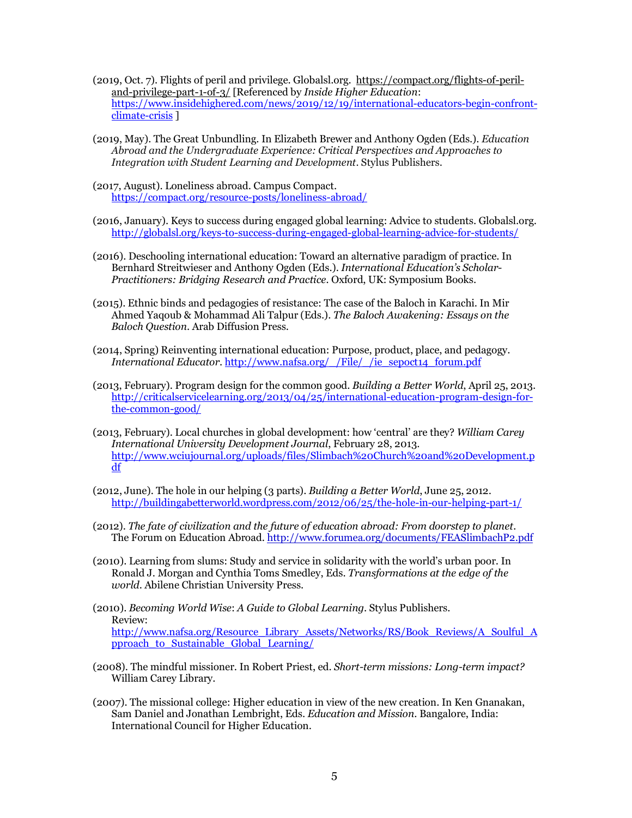- (2019, Oct. 7). Flights of peril and privilege. Globalsl.org. https://compact.org/flights-of-periland-privilege-part-1-of-3/ [Referenced by *Inside Higher Education*: https://www.insidehighered.com/news/2019/12/19/international-educators-begin-confrontclimate-crisis ]
- (2019, May). The Great Unbundling. In Elizabeth Brewer and Anthony Ogden (Eds.). *Education Abroad and the Undergraduate Experience: Critical Perspectives and Approaches to Integration with Student Learning and Development.* Stylus Publishers.
- (2017, August). Loneliness abroad. Campus Compact. https://compact.org/resource-posts/loneliness-abroad/
- (2016, January). Keys to success during engaged global learning: Advice to students. Globalsl.org. http://globalsl.org/keys-to-success-during-engaged-global-learning-advice-for-students/
- (2016). Deschooling international education: Toward an alternative paradigm of practice. In Bernhard Streitwieser and Anthony Ogden (Eds.). *International Education's Scholar-Practitioners: Bridging Research and Practice.* Oxford, UK: Symposium Books.
- (2015). Ethnic binds and pedagogies of resistance: The case of the Baloch in Karachi. In Mir Ahmed Yaqoub & Mohammad Ali Talpur (Eds.). *The Baloch Awakening: Essays on the Baloch Question*. Arab Diffusion Press.
- (2014, Spring) Reinventing international education: Purpose, product, place, and pedagogy. *International Educator*. http://www.nafsa.org/\_/File/\_/ie\_sepoct14\_forum.pdf
- (2013, February). Program design for the common good. *Building a Better World*, April 25, 2013. http://criticalservicelearning.org/2013/04/25/international-education-program-design-forthe-common-good/
- (2013, February). Local churches in global development: how 'central' are they? *William Carey International University Development Journal*, February 28, 2013. http://www.wciujournal.org/uploads/files/Slimbach%20Church%20and%20Development.p df
- (2012, June). The hole in our helping (3 parts). *Building a Better World*, June 25, 2012. http://buildingabetterworld.wordpress.com/2012/06/25/the-hole-in-our-helping-part-1/
- (2012). *The fate of civilization and the future of education abroad: From doorstep to planet.*  The Forum on Education Abroad. http://www.forumea.org/documents/FEASlimbachP2.pdf
- (2010). Learning from slums: Study and service in solidarity with the world's urban poor. In Ronald J. Morgan and Cynthia Toms Smedley, Eds. *Transformations at the edge of the world*. Abilene Christian University Press.
- (2010). *Becoming World Wise*: *A Guide to Global Learning*. Stylus Publishers. Review: http://www.nafsa.org/Resource\_Library\_Assets/Networks/RS/Book\_Reviews/A\_Soulful\_A pproach to Sustainable Global Learning/
- (2008). The mindful missioner. In Robert Priest, ed. *Short-term missions: Long-term impact?*  William Carey Library.
- (2007). The missional college: Higher education in view of the new creation. In Ken Gnanakan, Sam Daniel and Jonathan Lembright, Eds. *Education and Mission*. Bangalore, India: International Council for Higher Education.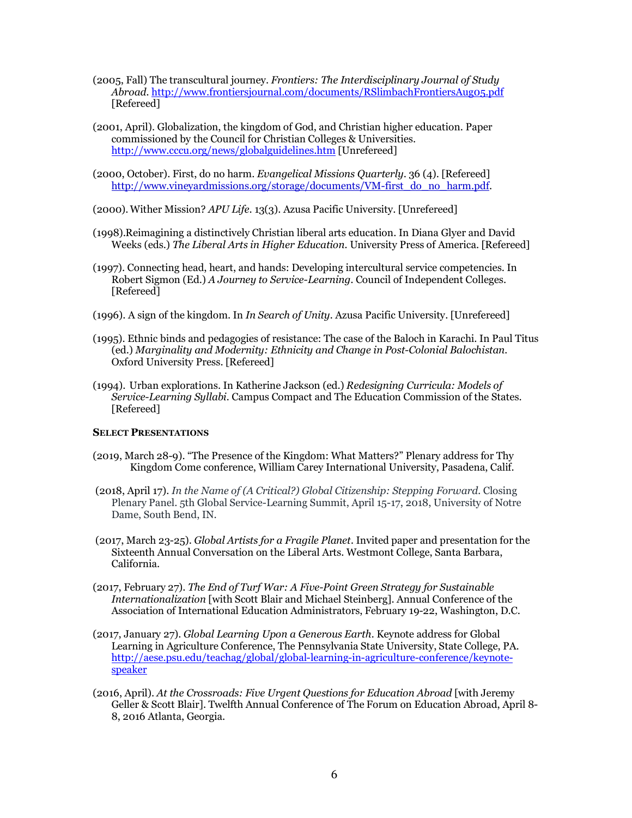- (2005, Fall) The transcultural journey. *Frontiers: The Interdisciplinary Journal of Study Abroad.* http://www.frontiersjournal.com/documents/RSlimbachFrontiersAug05.pdf [Refereed]
- (2001, April). Globalization, the kingdom of God, and Christian higher education. Paper commissioned by the Council for Christian Colleges & Universities. http://www.cccu.org/news/globalguidelines.htm [Unrefereed]
- (2000, October). First, do no harm. *Evangelical Missions Quarterly*. 36 (4). [Refereed] http://www.vineyardmissions.org/storage/documents/VM-first\_do\_no\_harm.pdf.
- (2000).Wither Mission? *APU Life*. 13(3). Azusa Pacific University. [Unrefereed]
- (1998).Reimagining a distinctively Christian liberal arts education. In Diana Glyer and David Weeks (eds.) *The Liberal Arts in Higher Education.* University Press of America. [Refereed]
- (1997). Connecting head, heart, and hands: Developing intercultural service competencies. In Robert Sigmon (Ed.) *A Journey to Service-Learning.* Council of Independent Colleges. [Refereed]
- (1996). A sign of the kingdom. In *In Search of Unity.* Azusa Pacific University. [Unrefereed]
- (1995). Ethnic binds and pedagogies of resistance: The case of the Baloch in Karachi. In Paul Titus (ed.) *Marginality and Modernity: Ethnicity and Change in Post-Colonial Balochistan.* Oxford University Press. [Refereed]
- (1994). Urban explorations. In Katherine Jackson (ed.) *Redesigning Curricula: Models of Service-Learning Syllabi.* Campus Compact and The Education Commission of the States. [Refereed]

### **SELECT PRESENTATIONS**

- (2019, March 28-9). "The Presence of the Kingdom: What Matters?" Plenary address for Thy Kingdom Come conference, William Carey International University, Pasadena, Calif.
- (2018, April 17). *In the Name of (A Critical?) Global Citizenship: Stepping Forward.* Closing Plenary Panel. 5th Global Service-Learning Summit, April 15-17, 2018, University of Notre Dame, South Bend, IN.
- (2017, March 23-25). *Global Artists for a Fragile Planet.* Invited paper and presentation for the Sixteenth Annual Conversation on the Liberal Arts. Westmont College, Santa Barbara, California.
- (2017, February 27). *The End of Turf War: A Five-Point Green Strategy for Sustainable Internationalization* [with Scott Blair and Michael Steinberg]. Annual Conference of the Association of International Education Administrators, February 19-22, Washington, D.C.
- (2017, January 27). *Global Learning Upon a Generous Earth.* Keynote address for Global Learning in Agriculture Conference, The Pennsylvania State University, State College, PA. http://aese.psu.edu/teachag/global/global-learning-in-agriculture-conference/keynotespeaker
- (2016, April). *At the Crossroads: Five Urgent Questions for Education Abroad* [with Jeremy Geller & Scott Blair]. Twelfth Annual Conference of The Forum on Education Abroad, April 8- 8, 2016 Atlanta, Georgia.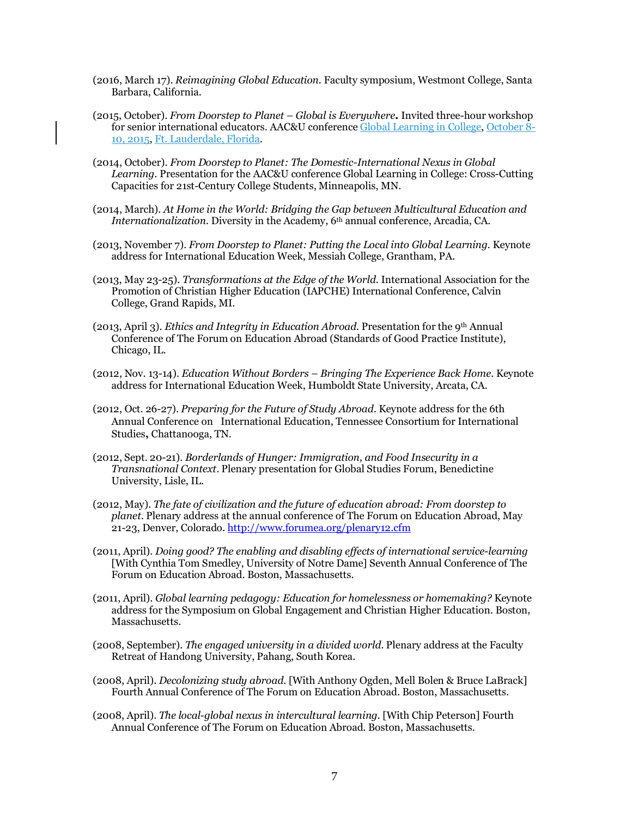- (2016, March 17). *Reimagining Global Education.* Faculty symposium, Westmont College, Santa Barbara, California.
- (2015, October). *From Doorstep to Planet – Global is Everywhere***.** Invited three-hour workshop for senior international educators. AAC&U conference Global Learning in College, October 8- 10, 2015, Ft. Lauderdale, Florida.
- (2014, October). *From Doorstep to Planet: The Domestic-International Nexus in Global Learning.* Presentation for the AAC&U conference Global Learning in College: Cross-Cutting Capacities for 21st-Century College Students, Minneapolis, MN.
- (2014, March). *At Home in the World: Bridging the Gap between Multicultural Education and Internationalization.* Diversity in the Academy, 6<sup>th</sup> annual conference, Arcadia, CA.
- (2013, November 7). *From Doorstep to Planet: Putting the Local into Global Learning.* Keynote address for International Education Week, Messiah College, Grantham, PA.
- (2013, May 23-25). *Transformations at the Edge of the World.* International Association for the Promotion of Christian Higher Education (IAPCHE) International Conference, Calvin College, Grand Rapids, MI.
- (2013, April 3). *Ethics and Integrity in Education Abroad.* Presentation for the 9th Annual Conference of The Forum on Education Abroad (Standards of Good Practice Institute), Chicago, IL.
- (2012, Nov. 13-14). *Education Without Borders – Bringing The Experience Back Home.* Keynote address for International Education Week, Humboldt State University, Arcata, CA.
- (2012, Oct. 26-27). *Preparing for the Future of Study Abroad*. Keynote address for the 6th Annual Conference on International Education, Tennessee Consortium for International Studies**,** Chattanooga, TN.
- (2012, Sept. 20-21). *Borderlands of Hunger: Immigration, and Food Insecurity in a Transnational Context*. Plenary presentation for Global Studies Forum, Benedictine University, Lisle, IL.
- (2012, May). *The fate of civilization and the future of education abroad: From doorstep to planet.* Plenary address at the annual conference of The Forum on Education Abroad, May 21-23, Denver, Colorado. http://www.forumea.org/plenary12.cfm
- (2011, April). *Doing good? The enabling and disabling effects of international service-learning*  [With Cynthia Tom Smedley, University of Notre Dame] Seventh Annual Conference of The Forum on Education Abroad. Boston, Massachusetts.
- (2011, April). *Global learning pedagogy: Education for homelessness or homemaking?* Keynote address for the Symposium on Global Engagement and Christian Higher Education. Boston, Massachusetts.
- (2008, September). *The engaged university in a divided world.* Plenary address at the Faculty Retreat of Handong University, Pahang, South Korea.
- (2008, April). *Decolonizing study abroad.* [With Anthony Ogden, Mell Bolen & Bruce LaBrack] Fourth Annual Conference of The Forum on Education Abroad. Boston, Massachusetts.
- (2008, April). *The local-global nexus in intercultural learning.* [With Chip Peterson] Fourth Annual Conference of The Forum on Education Abroad. Boston, Massachusetts.